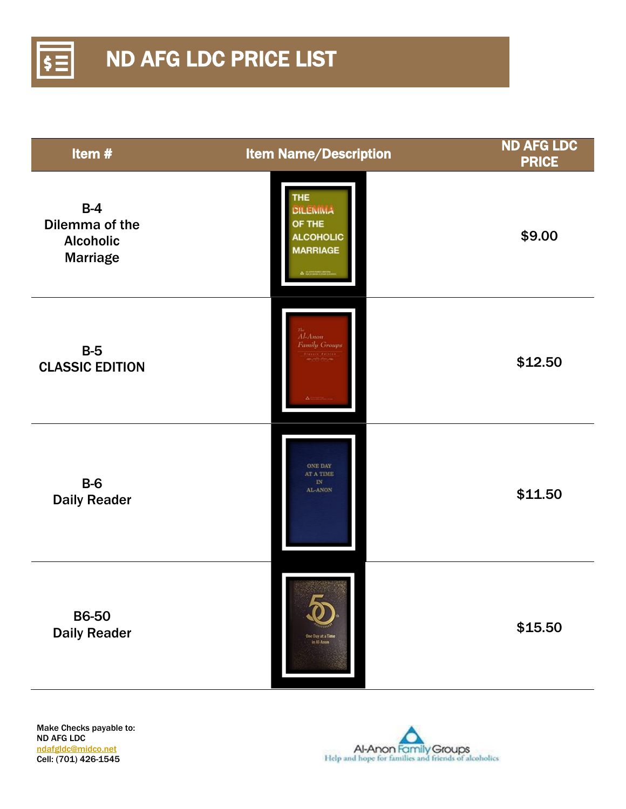

| Item#                                                          | <b>Item Name/Description</b>                                            | <b>ND AFG LDC</b><br><b>PRICE</b> |
|----------------------------------------------------------------|-------------------------------------------------------------------------|-----------------------------------|
| $B-4$<br>Dilemma of the<br><b>Alcoholic</b><br><b>Marriage</b> | THE<br><b>DILENINA</b><br>OF THE<br><b>ALCOHOLIC</b><br><b>MARRIAGE</b> | \$9.00                            |
| $B-5$<br><b>CLASSIC EDITION</b>                                | Al-Anon<br>Family Groups<br><b>Several Person</b>                       | \$12.50                           |
| $B-6$<br><b>Daily Reader</b>                                   | <b>ONE DAY</b><br><b>AT A TIME</b><br>$\mathbb{N}$<br><b>AL-ANON</b>    | \$11.50                           |
| <b>B6-50</b><br><b>Daily Reader</b>                            | One Day at a Time<br>In Al-Anon                                         | \$15.50                           |

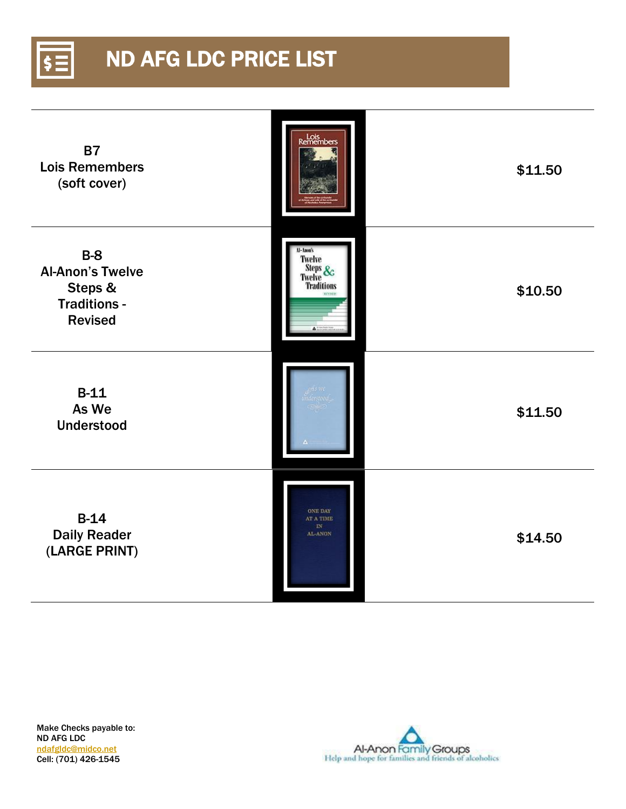

| <b>B7</b><br><b>Lois Remembers</b><br>(soft cover)                                        | Lois<br>Remembers                                             | \$11.50 |
|-------------------------------------------------------------------------------------------|---------------------------------------------------------------|---------|
| <b>B-8</b><br><b>Al-Anon's Twelve</b><br>Steps &<br><b>Traditions -</b><br><b>Revised</b> | Al-Anon's<br><b>Twelve</b><br>Steps<br>Twelve<br>Traditions   | \$10.50 |
| $B-11$<br>As We<br><b>Understood</b>                                                      | understood                                                    | \$11.50 |
| $B-14$<br><b>Daily Reader</b><br>(LARGE PRINT)                                            | <b>ONE DAY</b><br>AT A TIME<br>$\mathbf{N}$<br><b>AL-ANON</b> | \$14.50 |

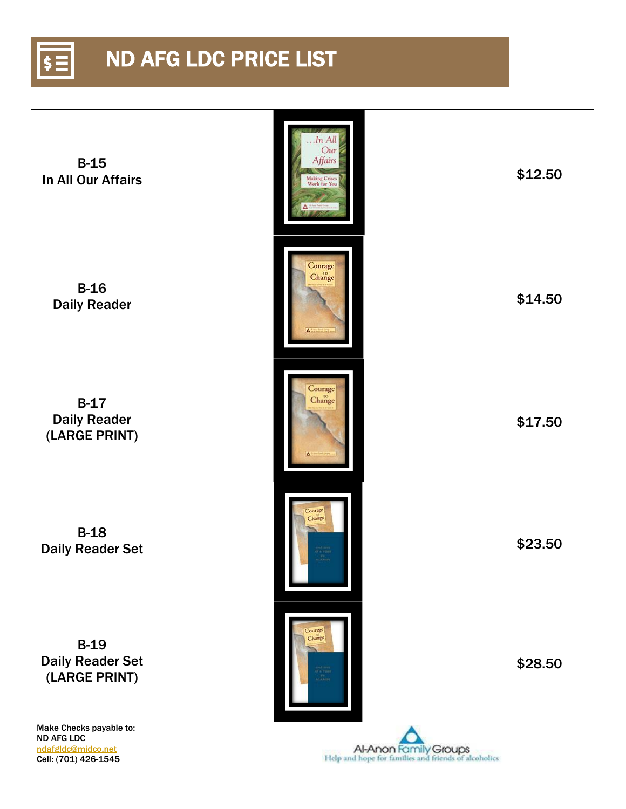

| $B-15$<br>In All Our Affairs                                       | Our<br>Affairs<br>Making Crises<br>Work for You | \$12.50 |
|--------------------------------------------------------------------|-------------------------------------------------|---------|
| $B-16$<br><b>Daily Reader</b>                                      | Courage<br>Change                               | \$14.50 |
| $B-17$<br><b>Daily Reader</b><br>(LARGE PRINT)                     | Courage<br>Change                               | \$17.50 |
| $B-18$<br><b>Daily Reader Set</b>                                  | ourage<br>Change                                | \$23.50 |
| $B-19$<br><b>Daily Reader Set</b><br>(LARGE PRINT)                 | Courage<br>Change                               | \$28.50 |
| Make Checks payable to:<br><b>ND AFG LDC</b><br>ndafgldc@midco.net | Al-Anon Family Groups                           |         |

[ndafgldc@midco.net](mailto:ndafgldc@midco.net) Cell: (701) 426-1545

Help and hope for families and friends of alcoholics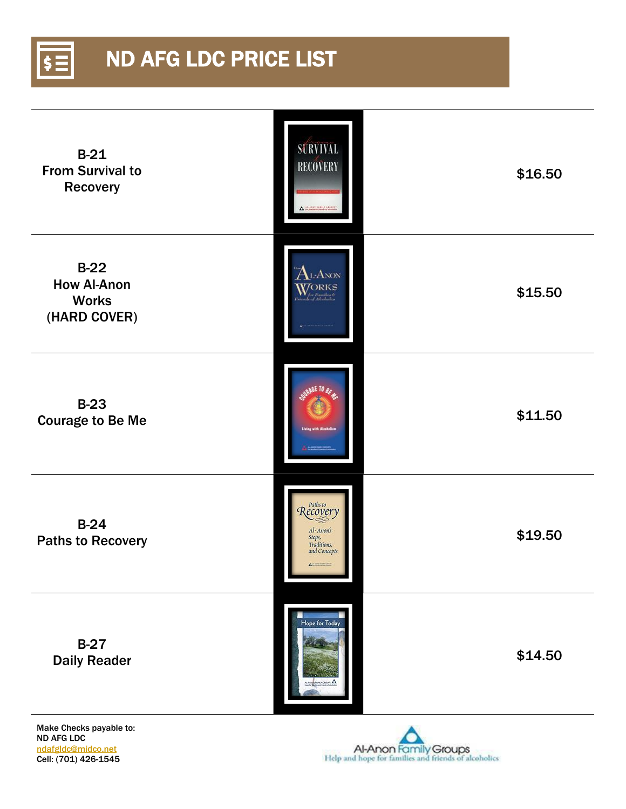

| $B-21$<br><b>From Survival to</b><br>Recovery                | <b>SURVIVAL</b><br><b>RECOVERY</b>                                           | \$16.50 |
|--------------------------------------------------------------|------------------------------------------------------------------------------|---------|
| $B-22$<br><b>How Al-Anon</b><br><b>Works</b><br>(HARD COVER) | $_{\rm L*A}$ non<br>WORKS                                                    | \$15.50 |
| $B-23$<br><b>Courage to Be Me</b>                            | <b>Living with Alcohelism</b>                                                | \$11.50 |
| $B-24$<br><b>Paths to Recovery</b>                           | Recovery<br>Al-Anon's<br>Steps,<br>Traditions,<br>and Concepts<br>Accompanie | \$19.50 |
| $B-27$<br><b>Daily Reader</b>                                | Hope for Today                                                               | \$14.50 |

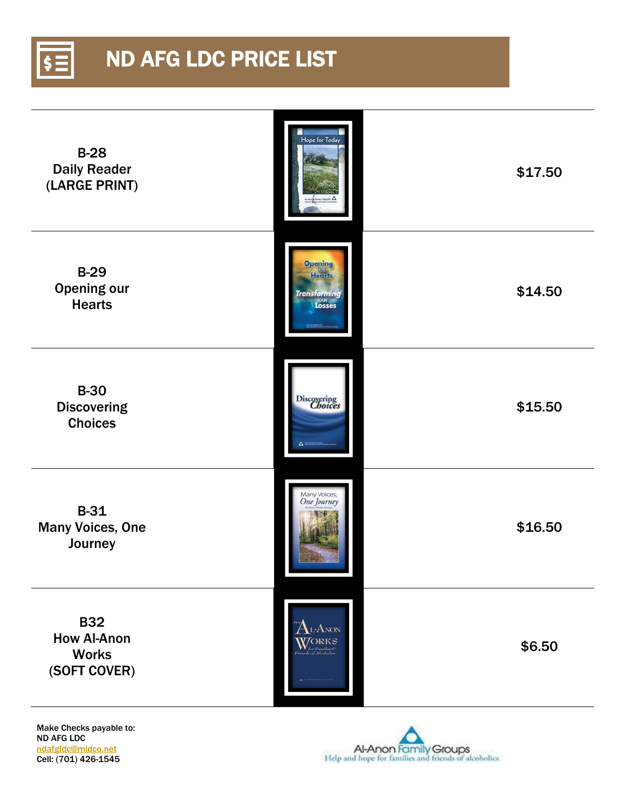

| $B-28$<br><b>Daily Reader</b><br>(LARGE PRINT)                   | Hope for Today                                            | \$17.50 |
|------------------------------------------------------------------|-----------------------------------------------------------|---------|
| $B-29$<br><b>Opening our</b><br><b>Hearts</b>                    | <b>Opening</b><br><b>Hearts</b><br>Transforming<br>Losses | \$14.50 |
| <b>B-30</b><br><b>Discovering</b><br><b>Choices</b>              | Discovering<br>Choices                                    | \$15.50 |
| <b>B-31</b><br><b>Many Voices, One</b><br>Journey                | Many Voices,<br>One Journey                               | \$16.50 |
| <b>B32</b><br><b>How Al-Anon</b><br><b>Works</b><br>(SOFT COVER) | $\mathbf{L}$ -Axox<br><b>VORKS</b><br>Volger Families &   | \$6.50  |

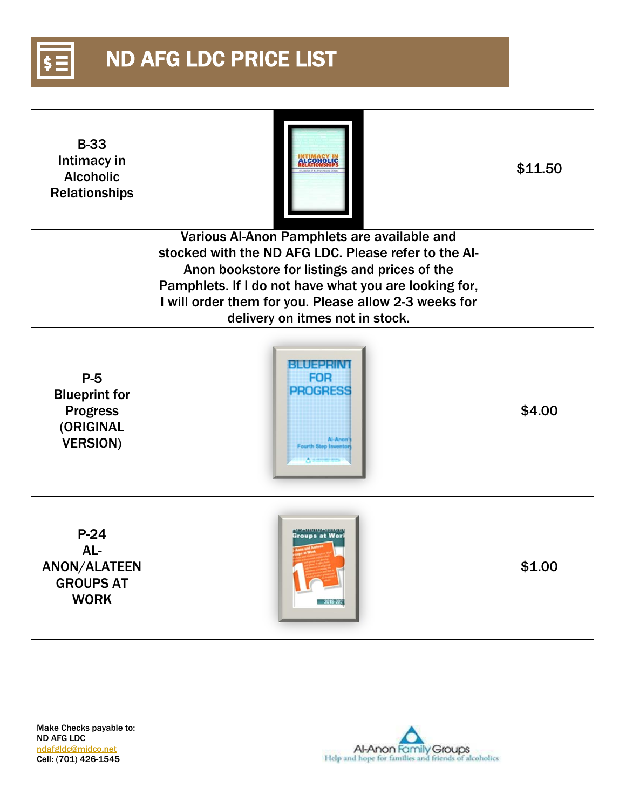

B-33 Intimacy in Alcoholic Relationships



\$11.50

Various Al-Anon Pamphlets are available and stocked with the ND AFG LDC. Please refer to the Al-Anon bookstore for listings and prices of the Pamphlets. If I do not have what you are looking for, I will order them for you. Please allow 2-3 weeks for delivery on itmes not in stock.

P-5 Blueprint for Progress (ORIGINAL VERSION)



\$4.00

P-24 AL-ANON/ALATEEN GROUPS AT WORK



\$1.00

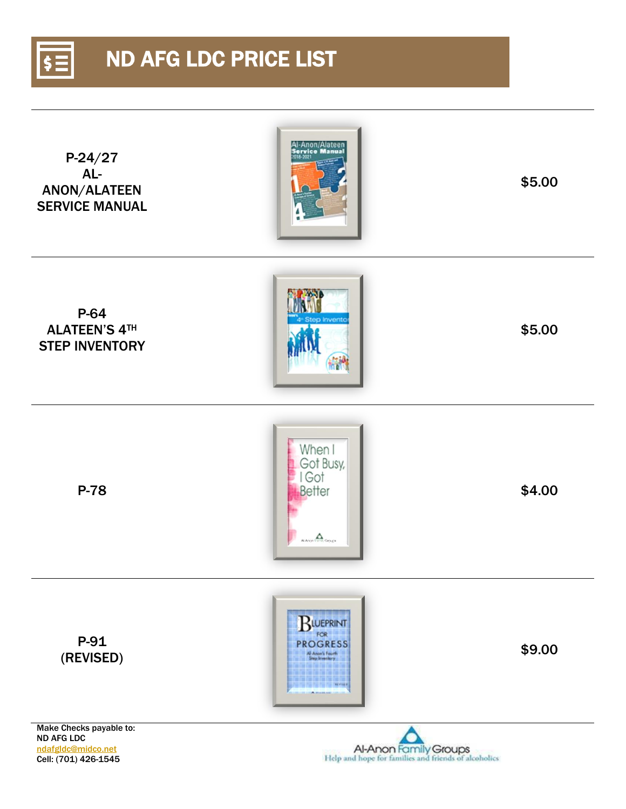

\$5.00

P-64 ALATEEN'S 4TH STEP INVENTORY

P-24/27 AL-ANON/ALATEEN SERVICE MANUAL



When I Got Busy, I Got

 $\Delta$ 

Al-Anor

\$5.00

**P-78** \$4.00



ND AFG LDC [ndafgldc@midco.net](mailto:ndafgldc@midco.net) Cell: (701) 426-1545

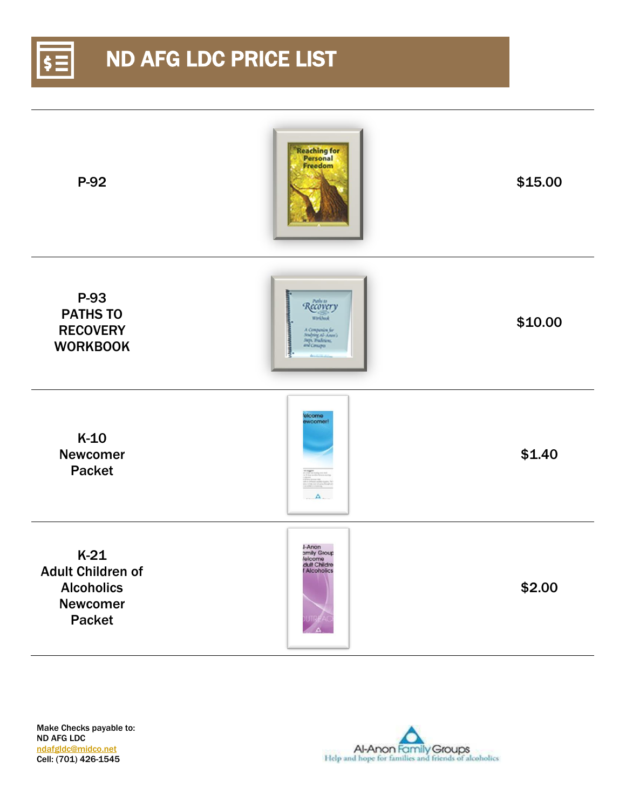

**Reaching for Personal**<br>Freedom P-92  $$15.00$ P-93 Recovery PATHS TO \$10.00 **RECOVERY** WORKBOOK icome<br>wcomer! K-10 Newcomer \$1.40 Packet  $A$ . I-Anon<br>amily Group<br>/elcome<br>dull' Childre K-21 Adult Children of **Alcoholics Alcoholics** \$2.00Newcomer Packet